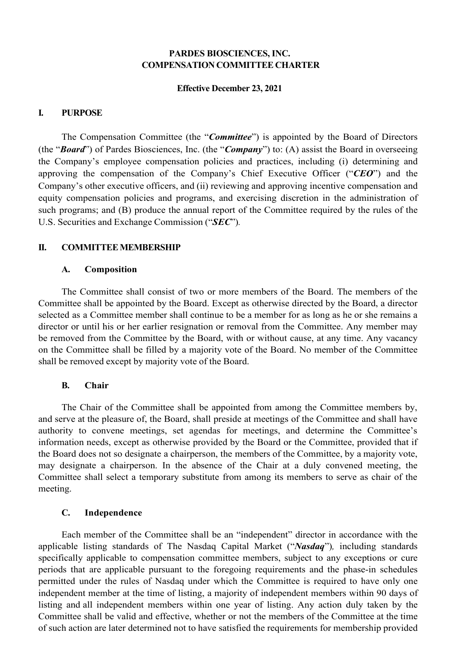# **PARDES BIOSCIENCES, INC. COMPENSATION COMMITTEE CHARTER**

## **Effective December 23, 2021**

## **I. PURPOSE**

The Compensation Committee (the "*Committee*") is appointed by the Board of Directors (the "*Board*") of Pardes Biosciences, Inc. (the "*Company*") to: (A) assist the Board in overseeing the Company's employee compensation policies and practices, including (i) determining and approving the compensation of the Company's Chief Executive Officer ("*CEO*") and the Company's other executive officers, and (ii) reviewing and approving incentive compensation and equity compensation policies and programs, and exercising discretion in the administration of such programs; and (B) produce the annual report of the Committee required by the rules of the U.S. Securities and Exchange Commission ("*SEC*")*.*

## **II. COMMITTEE MEMBERSHIP**

#### **A. Composition**

The Committee shall consist of two or more members of the Board. The members of the Committee shall be appointed by the Board. Except as otherwise directed by the Board, a director selected as a Committee member shall continue to be a member for as long as he or she remains a director or until his or her earlier resignation or removal from the Committee. Any member may be removed from the Committee by the Board, with or without cause, at any time. Any vacancy on the Committee shall be filled by a majority vote of the Board. No member of the Committee shall be removed except by majority vote of the Board.

#### **B. Chair**

The Chair of the Committee shall be appointed from among the Committee members by, and serve at the pleasure of, the Board, shall preside at meetings of the Committee and shall have authority to convene meetings, set agendas for meetings, and determine the Committee's information needs, except as otherwise provided by the Board or the Committee, provided that if the Board does not so designate a chairperson, the members of the Committee, by a majority vote, may designate a chairperson. In the absence of the Chair at a duly convened meeting, the Committee shall select a temporary substitute from among its members to serve as chair of the meeting.

## **C. Independence**

Each member of the Committee shall be an "independent" director in accordance with the applicable listing standards of The Nasdaq Capital Market ("*Nasdaq*")*,* including standards specifically applicable to compensation committee members, subject to any exceptions or cure periods that are applicable pursuant to the foregoing requirements and the phase-in schedules permitted under the rules of Nasdaq under which the Committee is required to have only one independent member at the time of listing, a majority of independent members within 90 days of listing and all independent members within one year of listing. Any action duly taken by the Committee shall be valid and effective, whether or not the members of the Committee at the time of such action are later determined not to have satisfied the requirements for membership provided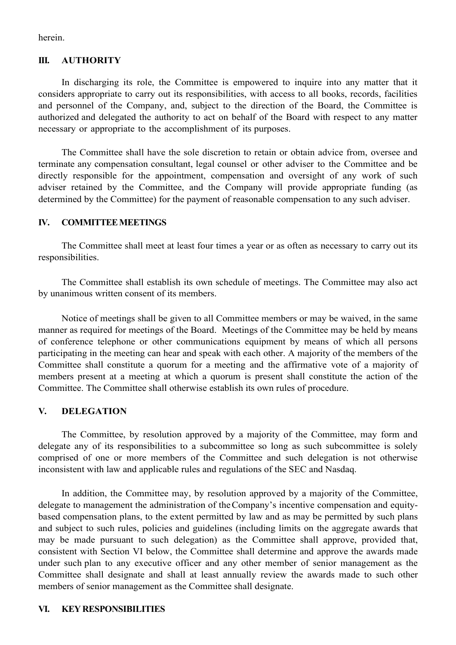herein.

## **III. AUTHORITY**

In discharging its role, the Committee is empowered to inquire into any matter that it considers appropriate to carry out its responsibilities, with access to all books, records, facilities and personnel of the Company, and, subject to the direction of the Board, the Committee is authorized and delegated the authority to act on behalf of the Board with respect to any matter necessary or appropriate to the accomplishment of its purposes.

The Committee shall have the sole discretion to retain or obtain advice from, oversee and terminate any compensation consultant, legal counsel or other adviser to the Committee and be directly responsible for the appointment, compensation and oversight of any work of such adviser retained by the Committee, and the Company will provide appropriate funding (as determined by the Committee) for the payment of reasonable compensation to any such adviser.

## **IV. COMMITTEEMEETINGS**

The Committee shall meet at least four times a year or as often as necessary to carry out its responsibilities.

The Committee shall establish its own schedule of meetings. The Committee may also act by unanimous written consent of its members.

Notice of meetings shall be given to all Committee members or may be waived, in the same manner as required for meetings of the Board. Meetings of the Committee may be held by means of conference telephone or other communications equipment by means of which all persons participating in the meeting can hear and speak with each other. A majority of the members of the Committee shall constitute a quorum for a meeting and the affirmative vote of a majority of members present at a meeting at which a quorum is present shall constitute the action of the Committee. The Committee shall otherwise establish its own rules of procedure.

#### **V. DELEGATION**

The Committee, by resolution approved by a majority of the Committee, may form and delegate any of its responsibilities to a subcommittee so long as such subcommittee is solely comprised of one or more members of the Committee and such delegation is not otherwise inconsistent with law and applicable rules and regulations of the SEC and Nasdaq.

In addition, the Committee may, by resolution approved by a majority of the Committee, delegate to management the administration of theCompany's incentive compensation and equitybased compensation plans, to the extent permitted by law and as may be permitted by such plans and subject to such rules, policies and guidelines (including limits on the aggregate awards that may be made pursuant to such delegation) as the Committee shall approve, provided that, consistent with Section VI below, the Committee shall determine and approve the awards made under such plan to any executive officer and any other member of senior management as the Committee shall designate and shall at least annually review the awards made to such other members of senior management as the Committee shall designate.

#### **VI. KEY RESPONSIBILITIES**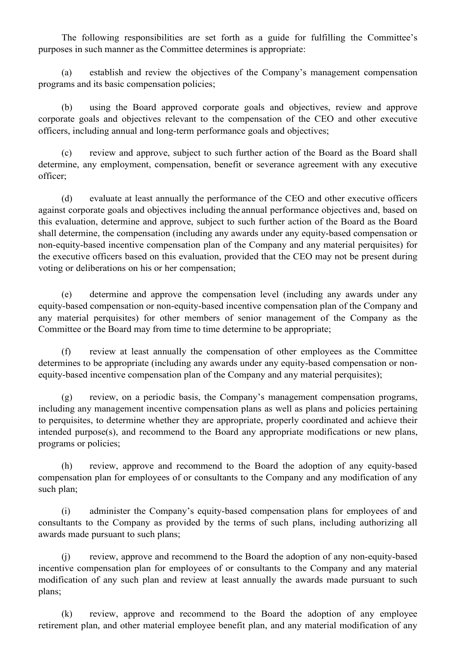The following responsibilities are set forth as a guide for fulfilling the Committee's purposes in such manner as the Committee determines is appropriate:

(a) establish and review the objectives of the Company's management compensation programs and its basic compensation policies;

(b) using the Board approved corporate goals and objectives, review and approve corporate goals and objectives relevant to the compensation of the CEO and other executive officers, including annual and long-term performance goals and objectives;

(c) review and approve, subject to such further action of the Board as the Board shall determine, any employment, compensation, benefit or severance agreement with any executive officer;

(d) evaluate at least annually the performance of the CEO and other executive officers against corporate goals and objectives including the annual performance objectives and, based on this evaluation, determine and approve, subject to such further action of the Board as the Board shall determine, the compensation (including any awards under any equity-based compensation or non-equity-based incentive compensation plan of the Company and any material perquisites) for the executive officers based on this evaluation, provided that the CEO may not be present during voting or deliberations on his or her compensation;

(e) determine and approve the compensation level (including any awards under any equity-based compensation or non-equity-based incentive compensation plan of the Company and any material perquisites) for other members of senior management of the Company as the Committee or the Board may from time to time determine to be appropriate;

(f) review at least annually the compensation of other employees as the Committee determines to be appropriate (including any awards under any equity-based compensation or nonequity-based incentive compensation plan of the Company and any material perquisites);

(g) review, on a periodic basis, the Company's management compensation programs, including any management incentive compensation plans as well as plans and policies pertaining to perquisites, to determine whether they are appropriate, properly coordinated and achieve their intended purpose(s), and recommend to the Board any appropriate modifications or new plans, programs or policies;

(h) review, approve and recommend to the Board the adoption of any equity-based compensation plan for employees of or consultants to the Company and any modification of any such plan;

(i) administer the Company's equity-based compensation plans for employees of and consultants to the Company as provided by the terms of such plans, including authorizing all awards made pursuant to such plans;

(j) review, approve and recommend to the Board the adoption of any non-equity-based incentive compensation plan for employees of or consultants to the Company and any material modification of any such plan and review at least annually the awards made pursuant to such plans;

(k) review, approve and recommend to the Board the adoption of any employee retirement plan, and other material employee benefit plan, and any material modification of any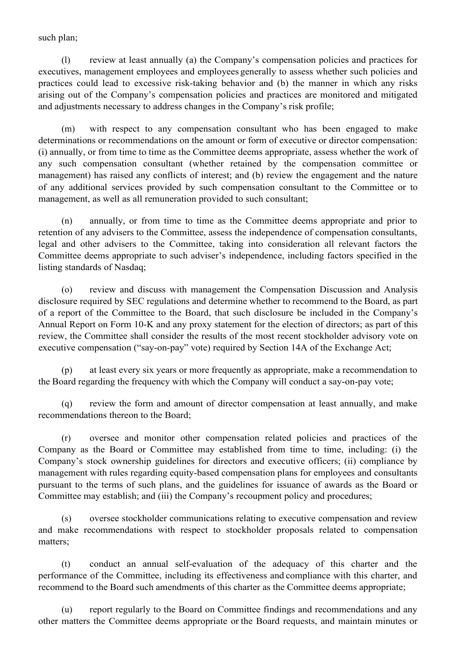such plan;

(l) review at least annually (a) the Company's compensation policies and practices for executives, management employees and employees generally to assess whether such policies and practices could lead to excessive risk-taking behavior and (b) the manner in which any risks arising out of the Company's compensation policies and practices are monitored and mitigated and adjustments necessary to address changes in the Company's risk profile;

(m) with respect to any compensation consultant who has been engaged to make determinations or recommendations on the amount or form of executive or director compensation: (i) annually, or from time to time as the Committee deems appropriate, assess whether the work of any such compensation consultant (whether retained by the compensation committee or management) has raised any conflicts of interest; and (b) review the engagement and the nature of any additional services provided by such compensation consultant to the Committee or to management, as well as all remuneration provided to such consultant;

(n) annually, or from time to time as the Committee deems appropriate and prior to retention of any advisers to the Committee, assess the independence of compensation consultants, legal and other advisers to the Committee, taking into consideration all relevant factors the Committee deems appropriate to such adviser's independence, including factors specified in the listing standards of Nasdaq;

(o) review and discuss with management the Compensation Discussion and Analysis disclosure required by SEC regulations and determine whether to recommend to the Board, as part of a report of the Committee to the Board, that such disclosure be included in the Company's Annual Report on Form 10-K and any proxy statement for the election of directors; as part of this review, the Committee shall consider the results of the most recent stockholder advisory vote on executive compensation ("say-on-pay" vote) required by Section 14A of the Exchange Act;

(p) at least every six years or more frequently as appropriate, make a recommendation to the Board regarding the frequency with which the Company will conduct a say-on-pay vote;

(q) review the form and amount of director compensation at least annually, and make recommendations thereon to the Board;

(r) oversee and monitor other compensation related policies and practices of the Company as the Board or Committee may established from time to time, including: (i) the Company's stock ownership guidelines for directors and executive officers; (ii) compliance by management with rules regarding equity-based compensation plans for employees and consultants pursuant to the terms of such plans, and the guidelines for issuance of awards as the Board or Committee may establish; and (iii) the Company's recoupment policy and procedures;

(s) oversee stockholder communications relating to executive compensation and review and make recommendations with respect to stockholder proposals related to compensation matters;

(t) conduct an annual self-evaluation of the adequacy of this charter and the performance of the Committee, including its effectiveness and compliance with this charter, and recommend to the Board such amendments of this charter as the Committee deems appropriate;

(u) report regularly to the Board on Committee findings and recommendations and any other matters the Committee deems appropriate or the Board requests, and maintain minutes or